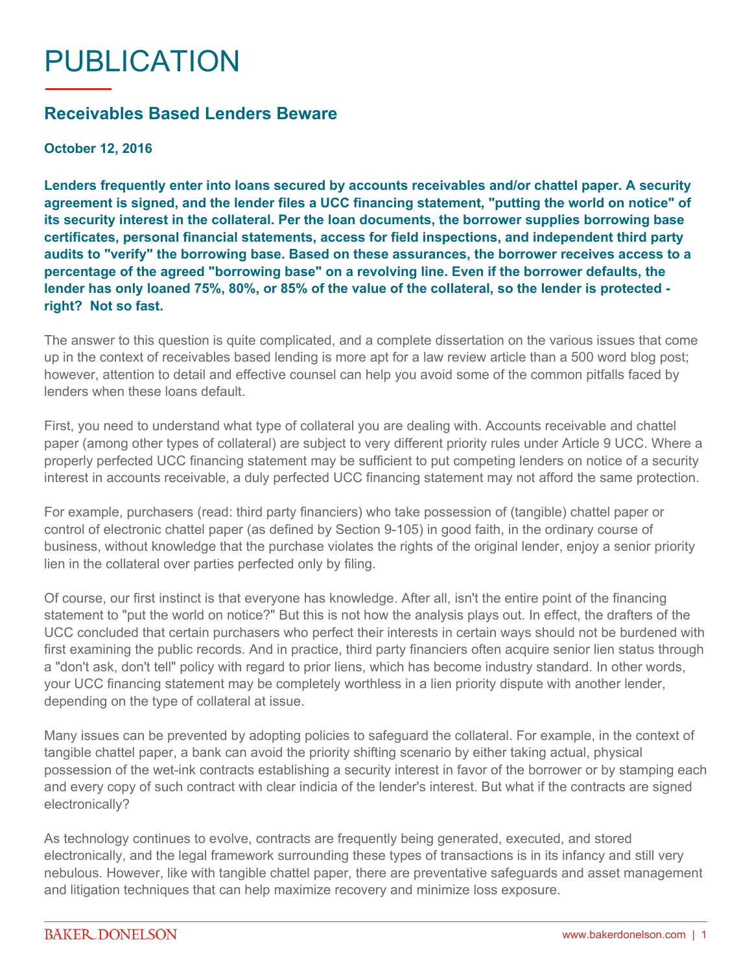## PUBLICATION

## **Receivables Based Lenders Beware**

**October 12, 2016**

**Lenders frequently enter into loans secured by accounts receivables and/or chattel paper. A security agreement is signed, and the lender files a UCC financing statement, "putting the world on notice" of its security interest in the collateral. Per the loan documents, the borrower supplies borrowing base certificates, personal financial statements, access for field inspections, and independent third party audits to "verify" the borrowing base. Based on these assurances, the borrower receives access to a percentage of the agreed "borrowing base" on a revolving line. Even if the borrower defaults, the lender has only loaned 75%, 80%, or 85% of the value of the collateral, so the lender is protected right? Not so fast.**

The answer to this question is quite complicated, and a complete dissertation on the various issues that come up in the context of receivables based lending is more apt for a law review article than a 500 word blog post; however, attention to detail and effective counsel can help you avoid some of the common pitfalls faced by lenders when these loans default.

First, you need to understand what type of collateral you are dealing with. Accounts receivable and chattel paper (among other types of collateral) are subject to very different priority rules under Article 9 UCC. Where a properly perfected UCC financing statement may be sufficient to put competing lenders on notice of a security interest in accounts receivable, a duly perfected UCC financing statement may not afford the same protection.

For example, purchasers (read: third party financiers) who take possession of (tangible) chattel paper or control of electronic chattel paper (as defined by Section 9-105) in good faith, in the ordinary course of business, without knowledge that the purchase violates the rights of the original lender, enjoy a senior priority lien in the collateral over parties perfected only by filing.

Of course, our first instinct is that everyone has knowledge. After all, isn't the entire point of the financing statement to "put the world on notice?" But this is not how the analysis plays out. In effect, the drafters of the UCC concluded that certain purchasers who perfect their interests in certain ways should not be burdened with first examining the public records. And in practice, third party financiers often acquire senior lien status through a "don't ask, don't tell" policy with regard to prior liens, which has become industry standard. In other words, your UCC financing statement may be completely worthless in a lien priority dispute with another lender, depending on the type of collateral at issue.

Many issues can be prevented by adopting policies to safeguard the collateral. For example, in the context of tangible chattel paper, a bank can avoid the priority shifting scenario by either taking actual, physical possession of the wet-ink contracts establishing a security interest in favor of the borrower or by stamping each and every copy of such contract with clear indicia of the lender's interest. But what if the contracts are signed electronically?

As technology continues to evolve, contracts are frequently being generated, executed, and stored electronically, and the legal framework surrounding these types of transactions is in its infancy and still very nebulous. However, like with tangible chattel paper, there are preventative safeguards and asset management and litigation techniques that can help maximize recovery and minimize loss exposure.